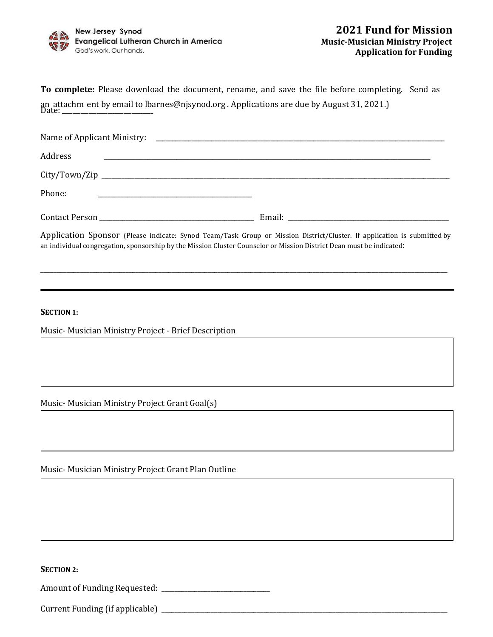

| To complete: Please download the document, rename, and save the file before completing. Send as |  |
|-------------------------------------------------------------------------------------------------|--|
|                                                                                                 |  |

| Address |                                                                                                                      |
|---------|----------------------------------------------------------------------------------------------------------------------|
|         |                                                                                                                      |
| Phone:  |                                                                                                                      |
|         |                                                                                                                      |
|         | Annication Sponsor (Please indicate: Synod Team/Task Group or Mission District/Cluster If annication is submitted by |

Application Sponsor (Please indicate: Synod Team/Task Group or Mission District/Cluster. If application is submitted by an individual congregation, sponsorship by the Mission Cluster Counselor or Mission District Dean must be indicated:

\_\_\_\_\_\_\_\_\_\_\_\_\_\_\_\_\_\_\_\_\_\_\_\_\_\_\_\_\_\_\_\_\_\_\_\_\_\_\_\_\_\_\_\_\_\_\_\_\_\_\_\_\_\_\_\_\_\_\_\_\_\_\_\_\_\_\_\_\_\_\_\_\_\_\_\_\_\_\_\_\_\_\_\_\_\_\_\_\_\_\_\_\_\_\_\_\_\_\_\_\_\_\_\_\_\_\_\_\_\_\_\_\_\_\_\_\_\_\_\_\_\_\_\_

**SECTION 1:**

Music- Musician Ministry Project - Brief Description

Music- Musician Ministry Project Grant Goal(s)

Music- Musician Ministry Project Grant Plan Outline

**SECTION 2:** 

Amount of Funding Requested: \_\_\_\_\_\_\_\_\_\_\_\_\_\_\_\_\_\_\_\_\_\_\_\_\_\_\_\_\_\_\_\_\_

Current Funding (if applicable) \_\_\_\_\_\_\_\_\_\_\_\_\_\_\_\_\_\_\_\_\_\_\_\_\_\_\_\_\_\_\_\_\_\_\_\_\_\_\_\_\_\_\_\_\_\_\_\_\_\_\_\_\_\_\_\_\_\_\_\_\_\_\_\_\_\_\_\_\_\_\_\_\_\_\_\_\_\_\_\_\_\_\_\_\_\_\_